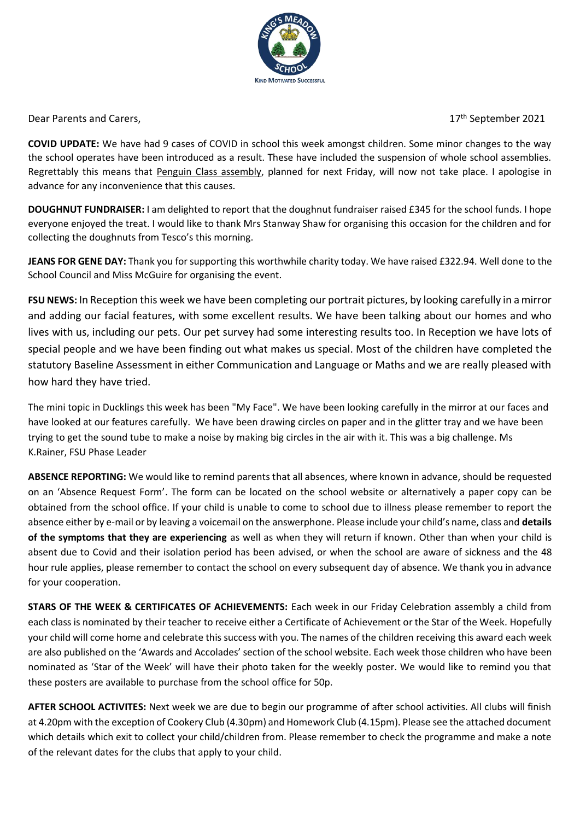

Dear Parents and Carers,

17<sup>th</sup> September 2021

**COVID UPDATE:** We have had 9 cases of COVID in school this week amongst children. Some minor changes to the way the school operates have been introduced as a result. These have included the suspension of whole school assemblies. Regrettably this means that Penguin Class assembly, planned for next Friday, will now not take place. I apologise in advance for any inconvenience that this causes.

**DOUGHNUT FUNDRAISER:** I am delighted to report that the doughnut fundraiser raised £345 for the school funds. I hope everyone enjoyed the treat. I would like to thank Mrs Stanway Shaw for organising this occasion for the children and for collecting the doughnuts from Tesco's this morning.

**JEANS FOR GENE DAY:** Thank you for supporting this worthwhile charity today. We have raised £322.94. Well done to the School Council and Miss McGuire for organising the event.

**FSU NEWS:** In Reception this week we have been completing our portrait pictures, by looking carefully in a mirror and adding our facial features, with some excellent results. We have been talking about our homes and who lives with us, including our pets. Our pet survey had some interesting results too. In Reception we have lots of special people and we have been finding out what makes us special. Most of the children have completed the statutory Baseline Assessment in either Communication and Language or Maths and we are really pleased with how hard they have tried.

The mini topic in Ducklings this week has been "My Face". We have been looking carefully in the mirror at our faces and have looked at our features carefully. We have been drawing circles on paper and in the glitter tray and we have been trying to get the sound tube to make a noise by making big circles in the air with it. This was a big challenge. Ms K.Rainer, FSU Phase Leader

**ABSENCE REPORTING:** We would like to remind parents that all absences, where known in advance, should be requested on an 'Absence Request Form'. The form can be located on the school website or alternatively a paper copy can be obtained from the school office. If your child is unable to come to school due to illness please remember to report the absence either by e-mail or by leaving a voicemail on the answerphone. Please include your child's name, class and **details of the symptoms that they are experiencing** as well as when they will return if known. Other than when your child is absent due to Covid and their isolation period has been advised, or when the school are aware of sickness and the 48 hour rule applies, please remember to contact the school on every subsequent day of absence. We thank you in advance for your cooperation.

**STARS OF THE WEEK & CERTIFICATES OF ACHIEVEMENTS:** Each week in our Friday Celebration assembly a child from each class is nominated by their teacher to receive either a Certificate of Achievement or the Star of the Week. Hopefully your child will come home and celebrate this success with you. The names of the children receiving this award each week are also published on the 'Awards and Accolades' section of the school website. Each week those children who have been nominated as 'Star of the Week' will have their photo taken for the weekly poster. We would like to remind you that these posters are available to purchase from the school office for 50p.

**AFTER SCHOOL ACTIVITES:** Next week we are due to begin our programme of after school activities. All clubs will finish at 4.20pm with the exception of Cookery Club (4.30pm) and Homework Club (4.15pm). Please see the attached document which details which exit to collect your child/children from. Please remember to check the programme and make a note of the relevant dates for the clubs that apply to your child.